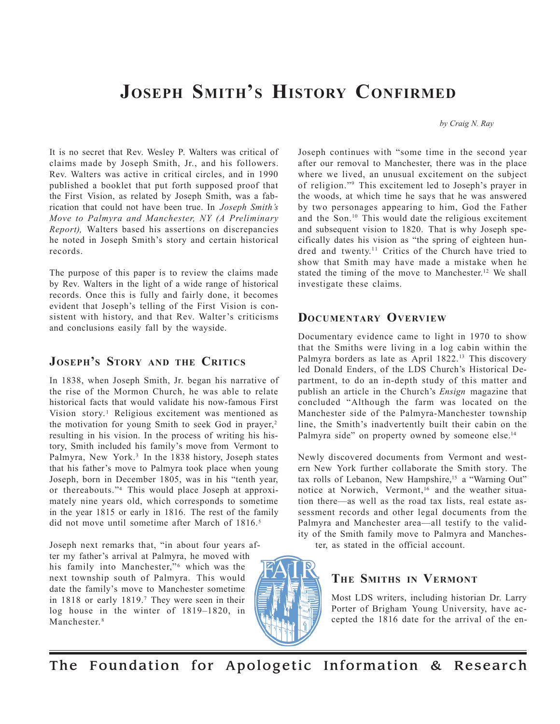# **JOSEPH SMITH'S HISTORY CONFIRMED**

*by Craig N. Ray*

It is no secret that Rev. Wesley P. Walters was critical of claims made by Joseph Smith, Jr., and his followers. Rev. Walters was active in critical circles, and in 1990 published a booklet that put forth supposed proof that the First Vision, as related by Joseph Smith, was a fabrication that could not have been true. In *Joseph Smith's Move to Palmyra and Manchester, NY (A Preliminary Report),* Walters based his assertions on discrepancies he noted in Joseph Smith's story and certain historical records.

The purpose of this paper is to review the claims made by Rev. Walters in the light of a wide range of historical records. Once this is fully and fairly done, it becomes evident that Joseph's telling of the First Vision is consistent with history, and that Rev. Walter's criticisms and conclusions easily fall by the wayside.

# **JOSEPH'S STORY AND THE CRITICS**

In 1838, when Joseph Smith, Jr. began his narrative of the rise of the Mormon Church, he was able to relate historical facts that would validate his now-famous First Vision story.<sup>1</sup> Religious excitement was mentioned as the motivation for young Smith to seek God in prayer,<sup>2</sup> resulting in his vision. In the process of writing his history, Smith included his family's move from Vermont to Palmyra, New York.<sup>3</sup> In the 1838 history, Joseph states that his father's move to Palmyra took place when young Joseph, born in December 1805, was in his "tenth year, or thereabouts."4 This would place Joseph at approximately nine years old, which corresponds to sometime in the year 1815 or early in 1816. The rest of the family did not move until sometime after March of 1816.<sup>5</sup>

Joseph next remarks that, "in about four years after my father's arrival at Palmyra, he moved with his family into Manchester,"<sup>6</sup> which was the next township south of Palmyra. This would date the family's move to Manchester sometime in 1818 or early 1819.7 They were seen in their log house in the winter of 1819–1820, in Manchester.<sup>8</sup>



Joseph continues with "some time in the second year after our removal to Manchester, there was in the place where we lived, an unusual excitement on the subject of religion."9 This excitement led to Joseph's prayer in the woods, at which time he says that he was answered by two personages appearing to him, God the Father and the Son.10 This would date the religious excitement and subsequent vision to 1820. That is why Joseph specifically dates his vision as "the spring of eighteen hundred and twenty.<sup>11</sup> Critics of the Church have tried to show that Smith may have made a mistake when he stated the timing of the move to Manchester.<sup>12</sup> We shall investigate these claims.

# **DOCUMENTARY OVERVIEW**

Documentary evidence came to light in 1970 to show that the Smiths were living in a log cabin within the Palmyra borders as late as April  $1822<sup>13</sup>$  This discovery led Donald Enders, of the LDS Church's Historical Department, to do an in-depth study of this matter and publish an article in the Church's *Ensign* magazine that concluded "Although the farm was located on the Manchester side of the Palmyra-Manchester township line, the Smith's inadvertently built their cabin on the Palmyra side" on property owned by someone else.<sup>14</sup>

Newly discovered documents from Vermont and western New York further collaborate the Smith story. The tax rolls of Lebanon, New Hampshire,<sup>15</sup> a "Warning Out" notice at Norwich, Vermont,<sup>16</sup> and the weather situation there—as well as the road tax lists, real estate assessment records and other legal documents from the Palmyra and Manchester area—all testify to the validity of the Smith family move to Palmyra and Manchester, as stated in the official account.

# **THE SMITHS IN VERMONT**

Most LDS writers, including historian Dr. Larry Porter of Brigham Young University, have accepted the 1816 date for the arrival of the en-

The Foundation for Apologetic Information & Research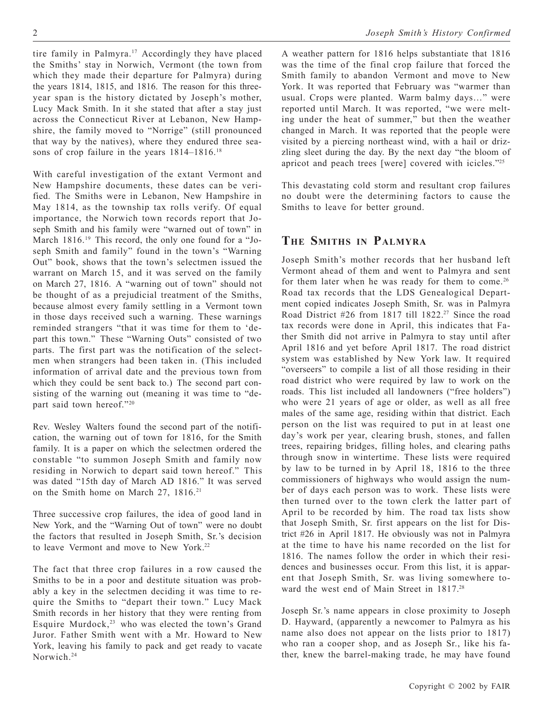tire family in Palmyra.<sup>17</sup> Accordingly they have placed the Smiths' stay in Norwich, Vermont (the town from which they made their departure for Palmyra) during the years 1814, 1815, and 1816. The reason for this threeyear span is the history dictated by Joseph's mother, Lucy Mack Smith. In it she stated that after a stay just across the Connecticut River at Lebanon, New Hampshire, the family moved to "Norrige" (still pronounced that way by the natives), where they endured three seasons of crop failure in the years  $1814-1816$ <sup>18</sup>

With careful investigation of the extant Vermont and New Hampshire documents, these dates can be verified. The Smiths were in Lebanon, New Hampshire in May 1814, as the township tax rolls verify. Of equal importance, the Norwich town records report that Joseph Smith and his family were "warned out of town" in March 1816.<sup>19</sup> This record, the only one found for a "Joseph Smith and family" found in the town's "Warning Out" book, shows that the town's selectmen issued the warrant on March 15, and it was served on the family on March 27, 1816. A "warning out of town" should not be thought of as a prejudicial treatment of the Smiths, because almost every family settling in a Vermont town in those days received such a warning. These warnings reminded strangers "that it was time for them to 'depart this town." These "Warning Outs" consisted of two parts. The first part was the notification of the selectmen when strangers had been taken in. (This included information of arrival date and the previous town from which they could be sent back to.) The second part consisting of the warning out (meaning it was time to "depart said town hereof."20

Rev. Wesley Walters found the second part of the notification, the warning out of town for 1816, for the Smith family. It is a paper on which the selectmen ordered the constable "to summon Joseph Smith and family now residing in Norwich to depart said town hereof." This was dated "15th day of March AD 1816." It was served on the Smith home on March 27, 1816.<sup>21</sup>

Three successive crop failures, the idea of good land in New York, and the "Warning Out of town" were no doubt the factors that resulted in Joseph Smith, Sr.'s decision to leave Vermont and move to New York.<sup>22</sup>

The fact that three crop failures in a row caused the Smiths to be in a poor and destitute situation was probably a key in the selectmen deciding it was time to require the Smiths to "depart their town." Lucy Mack Smith records in her history that they were renting from Esquire Murdock, $23$  who was elected the town's Grand Juror. Father Smith went with a Mr. Howard to New York, leaving his family to pack and get ready to vacate Norwich.<sup>24</sup>

A weather pattern for 1816 helps substantiate that 1816 was the time of the final crop failure that forced the Smith family to abandon Vermont and move to New York. It was reported that February was "warmer than usual. Crops were planted. Warm balmy days…" were reported until March. It was reported, "we were melting under the heat of summer," but then the weather changed in March. It was reported that the people were visited by a piercing northeast wind, with a hail or drizzling sleet during the day. By the next day "the bloom of apricot and peach trees [were] covered with icicles."25

This devastating cold storm and resultant crop failures no doubt were the determining factors to cause the Smiths to leave for better ground.

## **THE SMITHS IN PALMYRA**

Joseph Smith's mother records that her husband left Vermont ahead of them and went to Palmyra and sent for them later when he was ready for them to come.<sup>26</sup> Road tax records that the LDS Genealogical Department copied indicates Joseph Smith, Sr. was in Palmyra Road District #26 from 1817 till 1822.<sup>27</sup> Since the road tax records were done in April, this indicates that Father Smith did not arrive in Palmyra to stay until after April 1816 and yet before April 1817. The road district system was established by New York law. It required "overseers" to compile a list of all those residing in their road district who were required by law to work on the roads. This list included all landowners ("free holders") who were 21 years of age or older, as well as all free males of the same age, residing within that district. Each person on the list was required to put in at least one day's work per year, clearing brush, stones, and fallen trees, repairing bridges, filling holes, and clearing paths through snow in wintertime. These lists were required by law to be turned in by April 18, 1816 to the three commissioners of highways who would assign the number of days each person was to work. These lists were then turned over to the town clerk the latter part of April to be recorded by him. The road tax lists show that Joseph Smith, Sr. first appears on the list for District #26 in April 1817. He obviously was not in Palmyra at the time to have his name recorded on the list for 1816. The names follow the order in which their residences and businesses occur. From this list, it is apparent that Joseph Smith, Sr. was living somewhere toward the west end of Main Street in 1817.<sup>28</sup>

Joseph Sr.'s name appears in close proximity to Joseph D. Hayward, (apparently a newcomer to Palmyra as his name also does not appear on the lists prior to 1817) who ran a cooper shop, and as Joseph Sr., like his father, knew the barrel-making trade, he may have found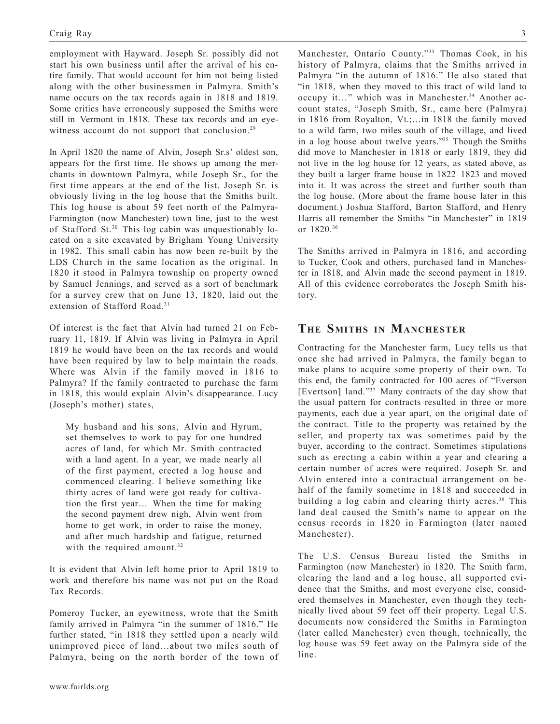employment with Hayward. Joseph Sr. possibly did not start his own business until after the arrival of his entire family. That would account for him not being listed along with the other businessmen in Palmyra. Smith's name occurs on the tax records again in 1818 and 1819. Some critics have erroneously supposed the Smiths were still in Vermont in 1818. These tax records and an eyewitness account do not support that conclusion.<sup>29</sup>

In April 1820 the name of Alvin, Joseph Sr.s' oldest son, appears for the first time. He shows up among the merchants in downtown Palmyra, while Joseph Sr., for the first time appears at the end of the list. Joseph Sr. is obviously living in the log house that the Smiths built. This log house is about 59 feet north of the Palmyra-Farmington (now Manchester) town line, just to the west of Stafford St.30 This log cabin was unquestionably located on a site excavated by Brigham Young University in 1982. This small cabin has now been re-built by the LDS Church in the same location as the original. In 1820 it stood in Palmyra township on property owned by Samuel Jennings, and served as a sort of benchmark for a survey crew that on June 13, 1820, laid out the extension of Stafford Road.31

Of interest is the fact that Alvin had turned 21 on February 11, 1819. If Alvin was living in Palmyra in April 1819 he would have been on the tax records and would have been required by law to help maintain the roads. Where was Alvin if the family moved in 1816 to Palmyra? If the family contracted to purchase the farm in 1818, this would explain Alvin's disappearance. Lucy (Joseph's mother) states,

My husband and his sons, Alvin and Hyrum, set themselves to work to pay for one hundred acres of land, for which Mr. Smith contracted with a land agent. In a year, we made nearly all of the first payment, erected a log house and commenced clearing. I believe something like thirty acres of land were got ready for cultivation the first year… When the time for making the second payment drew nigh, Alvin went from home to get work, in order to raise the money, and after much hardship and fatigue, returned with the required amount.<sup>32</sup>

It is evident that Alvin left home prior to April 1819 to work and therefore his name was not put on the Road Tax Records.

Pomeroy Tucker, an eyewitness, wrote that the Smith family arrived in Palmyra "in the summer of 1816." He further stated, "in 1818 they settled upon a nearly wild unimproved piece of land…about two miles south of Palmyra, being on the north border of the town of

Manchester, Ontario County."33 Thomas Cook, in his history of Palmyra, claims that the Smiths arrived in Palmyra "in the autumn of 1816." He also stated that "in 1818, when they moved to this tract of wild land to occupy it..." which was in Manchester.<sup>34</sup> Another account states, "Joseph Smith, Sr., came here (Palmyra) in 1816 from Royalton, Vt.;…in 1818 the family moved to a wild farm, two miles south of the village, and lived in a log house about twelve years."35 Though the Smiths did move to Manchester in 1818 or early 1819, they did not live in the log house for 12 years, as stated above, as they built a larger frame house in 1822–1823 and moved into it. It was across the street and further south than the log house. (More about the frame house later in this document.) Joshua Stafford, Barton Stafford, and Henry Harris all remember the Smiths "in Manchester" in 1819 or 1820.36

The Smiths arrived in Palmyra in 1816, and according to Tucker, Cook and others, purchased land in Manchester in 1818, and Alvin made the second payment in 1819. All of this evidence corroborates the Joseph Smith history.

# **THE SMITHS IN MANCHESTER**

Contracting for the Manchester farm, Lucy tells us that once she had arrived in Palmyra, the family began to make plans to acquire some property of their own. To this end, the family contracted for 100 acres of "Everson [Evertson] land."<sup>37</sup> Many contracts of the day show that the usual pattern for contracts resulted in three or more payments, each due a year apart, on the original date of the contract. Title to the property was retained by the seller, and property tax was sometimes paid by the buyer, according to the contract. Sometimes stipulations such as erecting a cabin within a year and clearing a certain number of acres were required. Joseph Sr. and Alvin entered into a contractual arrangement on behalf of the family sometime in 1818 and succeeded in building a log cabin and clearing thirty acres.<sup>38</sup> This land deal caused the Smith's name to appear on the census records in 1820 in Farmington (later named Manchester).

The U.S. Census Bureau listed the Smiths in Farmington (now Manchester) in 1820. The Smith farm, clearing the land and a log house, all supported evidence that the Smiths, and most everyone else, considered themselves in Manchester, even though they technically lived about 59 feet off their property. Legal U.S. documents now considered the Smiths in Farmington (later called Manchester) even though, technically, the log house was 59 feet away on the Palmyra side of the line.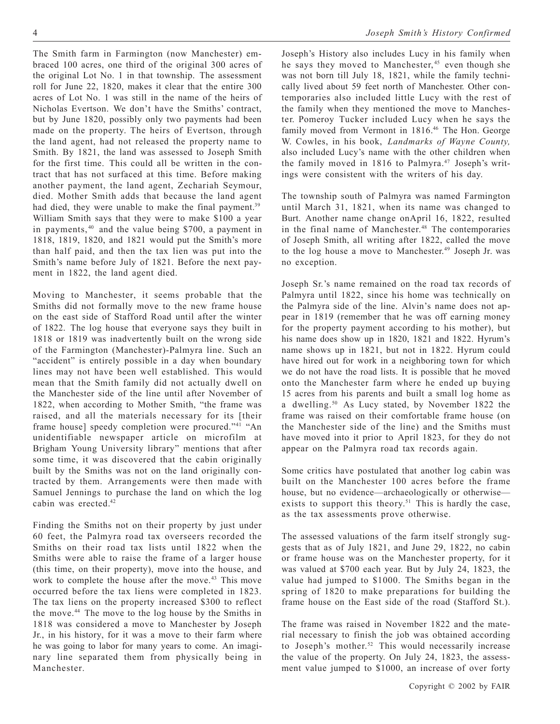The Smith farm in Farmington (now Manchester) embraced 100 acres, one third of the original 300 acres of the original Lot No. 1 in that township. The assessment roll for June 22, 1820, makes it clear that the entire 300 acres of Lot No. 1 was still in the name of the heirs of Nicholas Evertson. We don't have the Smiths' contract, but by June 1820, possibly only two payments had been made on the property. The heirs of Evertson, through the land agent, had not released the property name to Smith. By 1821, the land was assessed to Joseph Smith for the first time. This could all be written in the contract that has not surfaced at this time. Before making another payment, the land agent, Zechariah Seymour, died. Mother Smith adds that because the land agent had died, they were unable to make the final payment.<sup>39</sup> William Smith says that they were to make \$100 a year in payments, 40 and the value being \$700, a payment in 1818, 1819, 1820, and 1821 would put the Smith's more than half paid, and then the tax lien was put into the Smith's name before July of 1821. Before the next payment in 1822, the land agent died.

Moving to Manchester, it seems probable that the Smiths did not formally move to the new frame house on the east side of Stafford Road until after the winter of 1822. The log house that everyone says they built in 1818 or 1819 was inadvertently built on the wrong side of the Farmington (Manchester)-Palmyra line. Such an "accident" is entirely possible in a day when boundary lines may not have been well established. This would mean that the Smith family did not actually dwell on the Manchester side of the line until after November of 1822, when according to Mother Smith, "the frame was raised, and all the materials necessary for its [their frame house] speedy completion were procured."<sup>41</sup> "An unidentifiable newspaper article on microfilm at Brigham Young University library" mentions that after some time, it was discovered that the cabin originally built by the Smiths was not on the land originally contracted by them. Arrangements were then made with Samuel Jennings to purchase the land on which the log cabin was erected.<sup>42</sup>

Finding the Smiths not on their property by just under 60 feet, the Palmyra road tax overseers recorded the Smiths on their road tax lists until 1822 when the Smiths were able to raise the frame of a larger house (this time, on their property), move into the house, and work to complete the house after the move.<sup>43</sup> This move occurred before the tax liens were completed in 1823. The tax liens on the property increased \$300 to reflect the move.44 The move to the log house by the Smiths in 1818 was considered a move to Manchester by Joseph Jr., in his history, for it was a move to their farm where he was going to labor for many years to come. An imaginary line separated them from physically being in Manchester.

Joseph's History also includes Lucy in his family when he says they moved to Manchester,<sup>45</sup> even though she was not born till July 18, 1821, while the family technically lived about 59 feet north of Manchester. Other contemporaries also included little Lucy with the rest of the family when they mentioned the move to Manchester. Pomeroy Tucker included Lucy when he says the family moved from Vermont in 1816.<sup>46</sup> The Hon. George W. Cowles, in his book, *Landmarks of Wayne County,* also included Lucy's name with the other children when the family moved in 1816 to Palmyra.<sup>47</sup> Joseph's writings were consistent with the writers of his day.

The township south of Palmyra was named Farmington until March 31, 1821, when its name was changed to Burt. Another name change onApril 16, 1822, resulted in the final name of Manchester.<sup>48</sup> The contemporaries of Joseph Smith, all writing after 1822, called the move to the log house a move to Manchester.<sup>49</sup> Joseph Jr. was no exception.

Joseph Sr.'s name remained on the road tax records of Palmyra until 1822, since his home was technically on the Palmyra side of the line. Alvin's name does not appear in 1819 (remember that he was off earning money for the property payment according to his mother), but his name does show up in 1820, 1821 and 1822. Hyrum's name shows up in 1821, but not in 1822. Hyrum could have hired out for work in a neighboring town for which we do not have the road lists. It is possible that he moved onto the Manchester farm where he ended up buying 15 acres from his parents and built a small log home as a dwelling.<sup>50</sup> As Lucy stated, by November 1822 the frame was raised on their comfortable frame house (on the Manchester side of the line) and the Smiths must have moved into it prior to April 1823, for they do not appear on the Palmyra road tax records again.

Some critics have postulated that another log cabin was built on the Manchester 100 acres before the frame house, but no evidence—archaeologically or otherwise exists to support this theory.<sup>51</sup> This is hardly the case, as the tax assessments prove otherwise.

The assessed valuations of the farm itself strongly suggests that as of July 1821, and June 29, 1822, no cabin or frame house was on the Manchester property, for it was valued at \$700 each year. But by July 24, 1823, the value had jumped to \$1000. The Smiths began in the spring of 1820 to make preparations for building the frame house on the East side of the road (Stafford St.).

The frame was raised in November 1822 and the material necessary to finish the job was obtained according to Joseph's mother.<sup>52</sup> This would necessarily increase the value of the property. On July 24, 1823, the assessment value jumped to \$1000, an increase of over forty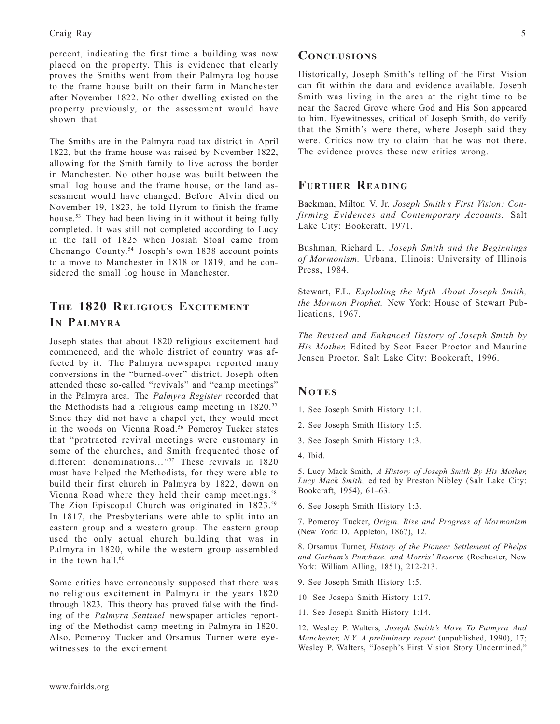percent, indicating the first time a building was now placed on the property. This is evidence that clearly proves the Smiths went from their Palmyra log house to the frame house built on their farm in Manchester after November 1822. No other dwelling existed on the property previously, or the assessment would have shown that.

The Smiths are in the Palmyra road tax district in April 1822, but the frame house was raised by November 1822, allowing for the Smith family to live across the border in Manchester. No other house was built between the small log house and the frame house, or the land assessment would have changed. Before Alvin died on November 19, 1823, he told Hyrum to finish the frame house.53 They had been living in it without it being fully completed. It was still not completed according to Lucy in the fall of 1825 when Josiah Stoal came from Chenango County.54 Joseph's own 1838 account points to a move to Manchester in 1818 or 1819, and he considered the small log house in Manchester.

# **THE 1820 RELIGIOUS EXCITEMENT IN PALMYRA**

Joseph states that about 1820 religious excitement had commenced, and the whole district of country was affected by it. The Palmyra newspaper reported many conversions in the "burned-over" district. Joseph often attended these so-called "revivals" and "camp meetings" in the Palmyra area. The *Palmyra Register* recorded that the Methodists had a religious camp meeting in 1820.<sup>55</sup> Since they did not have a chapel yet, they would meet in the woods on Vienna Road.<sup>56</sup> Pomeroy Tucker states that "protracted revival meetings were customary in some of the churches, and Smith frequented those of different denominations..."<sup>57</sup> These revivals in 1820 must have helped the Methodists, for they were able to build their first church in Palmyra by 1822, down on Vienna Road where they held their camp meetings.<sup>58</sup> The Zion Episcopal Church was originated in 1823.<sup>59</sup> In 1817, the Presbyterians were able to split into an eastern group and a western group. The eastern group used the only actual church building that was in Palmyra in 1820, while the western group assembled in the town hall  $60$ 

Some critics have erroneously supposed that there was no religious excitement in Palmyra in the years 1820 through 1823. This theory has proved false with the finding of the *Palmyra Sentinel* newspaper articles reporting of the Methodist camp meeting in Palmyra in 1820. Also, Pomeroy Tucker and Orsamus Turner were eyewitnesses to the excitement.

## **CONCLUSIONS**

Historically, Joseph Smith's telling of the First Vision can fit within the data and evidence available. Joseph Smith was living in the area at the right time to be near the Sacred Grove where God and His Son appeared to him. Eyewitnesses, critical of Joseph Smith, do verify that the Smith's were there, where Joseph said they were. Critics now try to claim that he was not there. The evidence proves these new critics wrong.

## **FURTHER READING**

Backman, Milton V. Jr. *Joseph Smith's First Vision: Confirming Evidences and Contemporary Accounts.* Salt Lake City: Bookcraft, 1971.

Bushman, Richard L. *Joseph Smith and the Beginnings of Mormonism.* Urbana, Illinois: University of Illinois Press, 1984.

Stewart, F.L. *Exploding the Myth About Joseph Smith, the Mormon Prophet.* New York: House of Stewart Publications, 1967.

*The Revised and Enhanced History of Joseph Smith by His Mother.* Edited by Scot Facer Proctor and Maurine Jensen Proctor. Salt Lake City: Bookcraft, 1996.

### **NOTES**

- 1. See Joseph Smith History 1:1.
- 2. See Joseph Smith History 1:5.
- 3. See Joseph Smith History 1:3.
- 4. Ibid.

5. Lucy Mack Smith, *A History of Joseph Smith By His Mother, Lucy Mack Smith,* edited by Preston Nibley (Salt Lake City: Bookcraft, 1954), 61–63.

6. See Joseph Smith History 1:3.

7. Pomeroy Tucker, *Origin, Rise and Progress of Mormonism* (New York: D. Appleton, 1867), 12.

8. Orsamus Turner, *History of the Pioneer Settlement of Phelps and Gorham's Purchase, and Morris' Reserve* (Rochester, New York: William Alling, 1851), 212-213.

9. See Joseph Smith History 1:5.

10. See Joseph Smith History 1:17.

11. See Joseph Smith History 1:14.

12. Wesley P. Walters, *Joseph Smith's Move To Palmyra And Manchester, N.Y. A preliminary report* (unpublished, 1990), 17; Wesley P. Walters, "Joseph's First Vision Story Undermined,"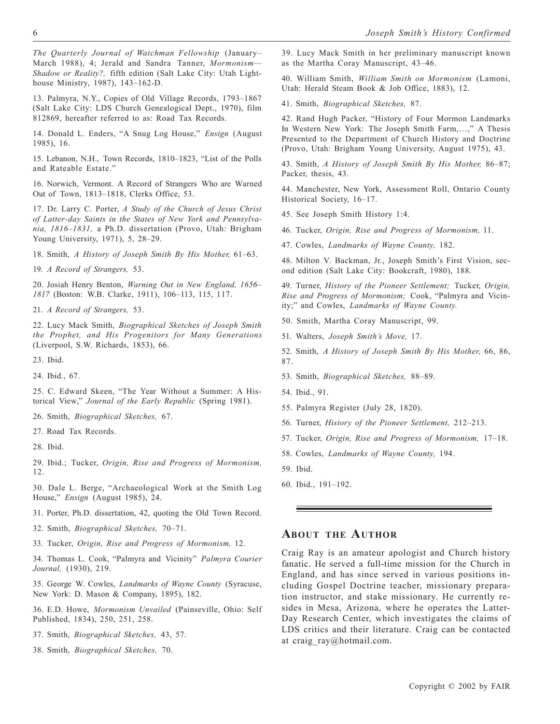*The Quarterly Journal of Watchman Fellowship* (January– March 1988), 4; Jerald and Sandra Tanner, *Mormonism— Shadow or Reality?,* fifth edition (Salt Lake City: Utah Lighthouse Ministry, 1987), 143–162-D.

13. Palmyra, N.Y., Copies of Old Village Records, 1793–1867 (Salt Lake City: LDS Church Genealogical Dept., 1970), film 812869, hereafter referred to as: Road Tax Records.

14. Donald L. Enders, "A Snug Log House," *Ensign* (August 1985), 16.

15. Lebanon, N.H., Town Records, 1810–1823, "List of the Polls and Rateable Estate."

16. Norwich, Vermont. A Record of Strangers Who are Warned Out of Town, 1813–1818, Clerks Office, 53.

17. Dr. Larry C. Porter, *A Study of the Church of Jesus Christ of Latter-day Saints in the States of New York and Pennsylvania, 1816–1831,* a Ph.D. dissertation (Provo, Utah: Brigham Young University, 1971), 5, 28–29.

18. Smith, *A History of Joseph Smith By His Mother,* 61–63.

19. *A Record of Strangers,* 53.

20. Josiah Henry Benton, *Warning Out in New England, 1656– 1817* (Boston: W.B. Clarke, 1911), 106–113, 115, 117.

21. *A Record of Strangers,* 53.

22. Lucy Mack Smith, *Biographical Sketches of Joseph Smith the Prophet, and His Progenitors for Many Generations* (Liverpool, S.W. Richards, 1853), 66.

23. Ibid.

24. Ibid., 67.

25. C. Edward Skeen, "The Year Without a Summer: A Historical View," *Journal of the Early Republic* (Spring 1981).

26. Smith, *Biographical Sketches,* 67.

27. Road Tax Records.

28. Ibid.

29. Ibid.; Tucker, *Origin, Rise and Progress of Mormonism,* 12.

30. Dale L. Berge, "Archaeological Work at the Smith Log House," *Ensign* (August 1985), 24.

31. Porter, Ph.D. dissertation, 42, quoting the Old Town Record.

32. Smith, *Biographical Sketches,* 70–71.

33. Tucker, *Origin, Rise and Progress of Mormonism,* 12.

34. Thomas L. Cook, "Palmyra and Vicinity" *Palmyra Courier Journal,* (1930), 219.

35. George W. Cowles, *Landmarks of Wayne County* (Syracuse, New York: D. Mason & Company, 1895), 182.

36. E.D. Howe, *Mormonism Unvailed* (Painseville, Ohio: Self Published, 1834), 250, 251, 258.

37. Smith, *Biographical Sketches,* 43, 57.

38. Smith, *Biographical Sketches,* 70.

39. Lucy Mack Smith in her preliminary manuscript known as the Martha Coray Manuscript, 43–46.

40. William Smith, *William Smith on Mormonism* (Lamoni, Utah: Herald Steam Book & Job Office, 1883), 12.

41. Smith, *Biographical Sketches,* 87.

42. Rand Hugh Packer, "History of Four Mormon Landmarks In Western New York: The Joseph Smith Farm,…," A Thesis Presented to the Department of Church History and Doctrine (Provo, Utah: Brigham Young University, August 1975), 43.

43. Smith, *A History of Joseph Smith By His Mother,* 86–87; Packer, thesis, 43.

44. Manchester, New York, Assessment Roll, Ontario County Historical Society, 16–17.

45. See Joseph Smith History 1:4.

46. Tucker, *Origin, Rise and Progress of Mormonism,* 11.

47. Cowles, *Landmarks of Wayne County,* 182.

48. Milton V. Backman, Jr., Joseph Smith's First Vision, second edition (Salt Lake City: Bookcraft, 1980), 188.

49. Turner, *History of the Pioneer Settlement;* Tucker, *Origin, Rise and Progress of Mormonism;* Cook, "Palmyra and Vicinity;" and Cowles, *Landmarks of Wayne County.*

50. Smith, Martha Coray Manuscript, 99.

51. Walters, *Joseph Smith's Move,* 17.

52. Smith, *A History of Joseph Smith By His Mother,* 66, 86, 87.

53. Smith, *Biographical Sketches,* 88–89.

54. Ibid., 91.

55. Palmyra Register (July 28, 1820).

56. Turner, *History of the Pioneer Settlement,* 212–213.

57. Tucker, *Origin, Rise and Progress of Mormonism,* 17–18.

58. Cowles, *Landmarks of Wayne County,* 194.

59. Ibid.

60. Ibid., 191–192.

#### **ABOUT THE AUTHOR**

Craig Ray is an amateur apologist and Church history fanatic. He served a full-time mission for the Church in England, and has since served in various positions including Gospel Doctrine teacher, missionary preparation instructor, and stake missionary. He currently resides in Mesa, Arizona, where he operates the Latter-Day Research Center, which investigates the claims of LDS critics and their literature. Craig can be contacted at craig ray@hotmail.com.